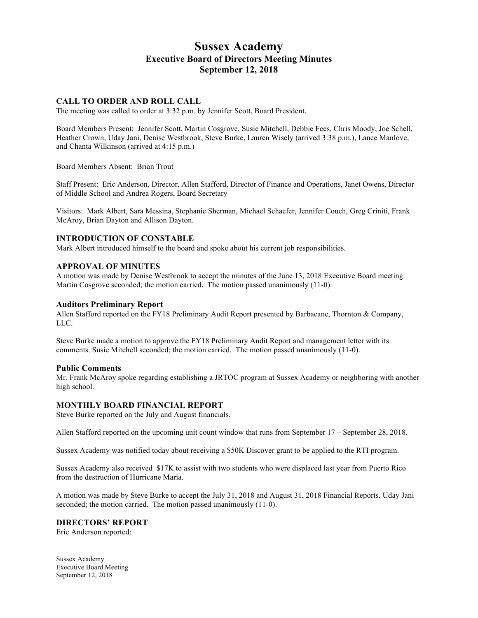# **Sussex Academy Executive Board of Directors Meeting Minutes September 12, 2018**

# **CALL TO ORDER AND ROLL CALL**

The meeting was called to order at 3:32 p.m. by Jennifer Scott, Board President.

Board Members Present: Jennifer Scott, Martin Cosgrove, Susie Mitchell, Debbie Fees, Chris Moody, Joe Schell, Heather Crown, Uday Jani, Denise Westbrook, Steve Burke, Lauren Wisely (arrived 3:38 p.m.), Lance Manlove, and Chanta Wilkinson (arrived at 4:15 p.m.)

Board Members Absent: Brian Trout

Staff Present: Eric Anderson, Director, Allen Stafford, Director of Finance and Operations, Janet Owens, Director of Middle School and Andrea Rogers, Board Secretary

Visitors: Mark Albert, Sara Messina, Stephanie Sherman, Michael Schaefer, Jennifer Couch, Greg Criniti, Frank McAroy, Brian Dayton and Allison Dayton.

# **INTRODUCTION OF CONSTABLE**

Mark Albert introduced himself to the board and spoke about his current job responsibilities.

## **APPROVAL OF MINUTES**

A motion was made by Denise Westbrook to accept the minutes of the June 13, 2018 Executive Board meeting. Martin Cosgrove seconded; the motion carried. The motion passed unanimously (11-0).

## **Auditors Preliminary Report**

Allen Stafford reported on the FY18 Preliminary Audit Report presented by Barbacane, Thornton & Company, LLC.

Steve Burke made a motion to approve the FY18 Preliminary Audit Report and management letter with its comments. Susie Mitchell seconded; the motion carried. The motion passed unanimously (11-0).

#### **Public Comments**

Mr. Frank McAroy spoke regarding establishing a JRTOC program at Sussex Academy or neighboring with another high school.

## **MONTHLY BOARD FINANCIAL REPORT**

Steve Burke reported on the July and August financials.

Allen Stafford reported on the upcoming unit count window that runs from September 17 – September 28, 2018.

Sussex Academy was notified today about receiving a \$50K Discover grant to be applied to the RTI program.

Sussex Academy also received \$17K to assist with two students who were displaced last year from Puerto Rico from the destruction of Hurricane Maria.

A motion was made by Steve Burke to accept the July 31, 2018 and August 31, 2018 Financial Reports. Uday Jani seconded; the motion carried. The motion passed unanimously (11-0).

#### **DIRECTORS' REPORT**

Eric Anderson reported:

Sussex Academy Executive Board Meeting September 12, 2018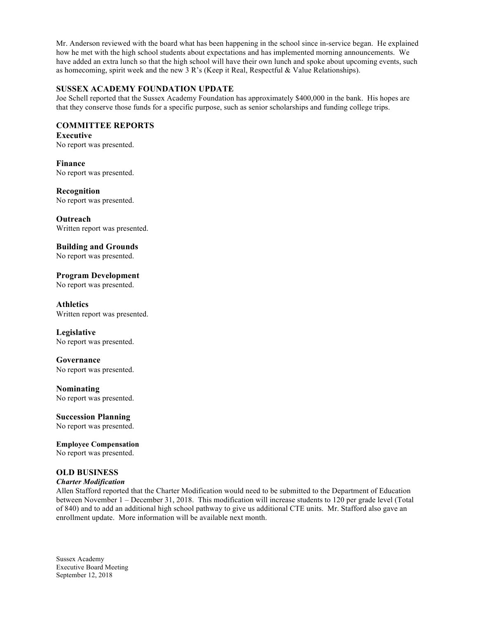Mr. Anderson reviewed with the board what has been happening in the school since in-service began. He explained how he met with the high school students about expectations and has implemented morning announcements. We have added an extra lunch so that the high school will have their own lunch and spoke about upcoming events, such as homecoming, spirit week and the new 3 R's (Keep it Real, Respectful & Value Relationships).

# **SUSSEX ACADEMY FOUNDATION UPDATE**

Joe Schell reported that the Sussex Academy Foundation has approximately \$400,000 in the bank. His hopes are that they conserve those funds for a specific purpose, such as senior scholarships and funding college trips.

# **COMMITTEE REPORTS**

**Executive**  No report was presented.

**Finance** No report was presented.

**Recognition** No report was presented.

**Outreach** Written report was presented.

**Building and Grounds**

No report was presented.

**Program Development** No report was presented.

**Athletics** Written report was presented.

**Legislative** No report was presented.

**Governance** No report was presented.

**Nominating** No report was presented.

**Succession Planning** No report was presented.

**Employee Compensation**  No report was presented.

# **OLD BUSINESS**

## *Charter Modification*

Allen Stafford reported that the Charter Modification would need to be submitted to the Department of Education between November 1 – December 31, 2018. This modification will increase students to 120 per grade level (Total of 840) and to add an additional high school pathway to give us additional CTE units. Mr. Stafford also gave an enrollment update. More information will be available next month.

Sussex Academy Executive Board Meeting September 12, 2018